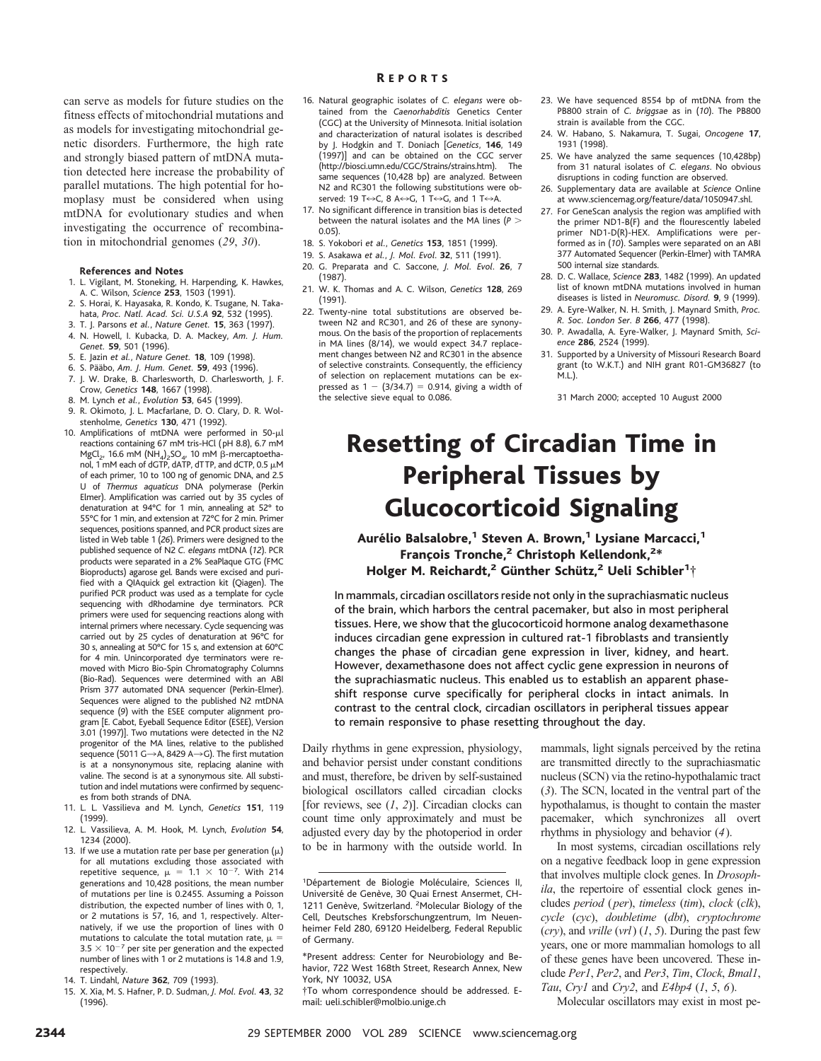can serve as models for future studies on the fitness effects of mitochondrial mutations and as models for investigating mitochondrial genetic disorders. Furthermore, the high rate and strongly biased pattern of mtDNA mutation detected here increase the probability of parallel mutations. The high potential for homoplasy must be considered when using mtDNA for evolutionary studies and when investigating the occurrence of recombination in mitochondrial genomes (*29*, *30*).

## **References and Notes**

- 1. L. Vigilant, M. Stoneking, H. Harpending, K. Hawkes, A. C. Wilson, *Science* **253**, 1503 (1991).
- 2. S. Horai, K. Hayasaka, R. Kondo, K. Tsugane, N. Takahata, *Proc. Natl. Acad. Sci. U.S.A* **92**, 532 (1995).
- 3. T. J. Parsons *et al.*, *Nature Genet.* **15**, 363 (1997). 4. N. Howell, I. Kubacka, D. A. Mackey, *Am. J. Hum. Genet.* **59**, 501 (1996).
- 5. E. Jazin *et al.*, *Nature Genet.* **18**, 109 (1998).
- 6. S. Pa¨a¨bo, *Am. J. Hum. Genet.* **59**, 493 (1996).
- 7. J. W. Drake, B. Charlesworth, D. Charlesworth, J. F. Crow, *Genetics* **148**, 1667 (1998).
- 8. M. Lynch *et al.*, *Evolution* **53**, 645 (1999).
- 9. R. Okimoto, J. L. Macfarlane, D. O. Clary, D. R. Wolstenholme, *Genetics* **130**, 471 (1992).
- 10. Amplifications of mtDNA were performed in  $50-\mu l$ reactions containing 67 mM tris-HCl (pH 8.8), 6.7 mM MgCl<sub>2</sub>, 16.6 mM (NH<sub>4</sub>)<sub>2</sub>SO<sub>4</sub>, 10 mM  $\beta$ -mercaptoethanol, 1 mM each of dGTP, dATP, dTTP, and dCTP, 0.5  $\mu$ M of each primer, 10 to 100 ng of genomic DNA, and 2.5 U of *Thermus aquaticus* DNA polymerase (Perkin Elmer). Amplification was carried out by 35 cycles of denaturation at 94°C for 1 min, annealing at 52° to 55°C for 1 min, and extension at 72°C for 2 min. Primer sequences, positions spanned, and PCR product sizes are listed in Web table 1 (*26*). Primers were designed to the published sequence of N2 *C. elegans* mtDNA (*12*). PCR products were separated in a 2% SeaPlaque GTG (FMC Bioproducts) agarose gel. Bands were excised and purified with a QIAquick gel extraction kit (Qiagen). The purified PCR product was used as a template for cycle sequencing with dRhodamine dye terminators. PCR primers were used for sequencing reactions along with internal primers where necessary. Cycle sequencing was carried out by 25 cycles of denaturation at 96°C for 30 s, annealing at 50°C for 15 s, and extension at 60°C for 4 min. Unincorporated dye terminators were removed with Micro Bio-Spin Chromatography Columns (Bio-Rad). Sequences were determined with an ABI Prism 377 automated DNA sequencer (Perkin-Elmer). Sequences were aligned to the published N2 mtDNA sequence (*9*) with the ESEE computer alignment program [E. Cabot, Eyeball Sequence Editor (ESEE), Version 3.01 (1997)]. Two mutations were detected in the N2 progenitor of the MA lines, relative to the published sequence (5011 G $\rightarrow$ A, 8429 A $\rightarrow$ G). The first mutation is at a nonsynonymous site, replacing alanine with valine. The second is at a synonymous site. All substitution and indel mutations were confirmed by sequences from both strands of DNA.
- 11. L. L. Vassilieva and M. Lynch, *Genetics* **151**, 119 (1999).
- 12. L. Vassilieva, A. M. Hook, M. Lynch, *Evolution* **54**, 1234 (2000).
- 13. If we use a mutation rate per base per generation  $(\mu)$ for all mutations excluding those associated with repetitive sequence,  $\mu = 1.1 \times 10^{-7}$ . With 214 generations and 10,428 positions, the mean number of mutations per line is 0.2455. Assuming a Poisson distribution, the expected number of lines with 0, 1, or 2 mutations is 57, 16, and 1, respectively. Alternatively, if we use the proportion of lines with 0 mutations to calculate the total mutation rate,  $\mu$  =  $3.5 \times 10^{-7}$  per site per generation and the expected number of lines with 1 or 2 mutations is 14.8 and 1.9, respectively.

15. X. Xia, M. S. Hafner, P. D. Sudman, *J. Mol. Evol.* **43**, 32 (1996).

- 16. Natural geographic isolates of *C. elegans* were obtained from the *Caenorhabditis* Genetics Center (CGC) at the University of Minnesota. Initial isolation and characterization of natural isolates is described by J. Hodgkin and T. Doniach [*Genetics*, **146**, 149 (1997)] and can be obtained on the CGC server (http://biosci.umn.edu/CGC/Strains/strains.htm). The same sequences (10,428 bp) are analyzed. Between N2 and RC301 the following substitutions were observed: 19 T $\leftrightarrow$ C, 8 A $\leftrightarrow$ G, 1 T $\leftrightarrow$ G, and 1 T $\leftrightarrow$ A.
- 17. No significant difference in transition bias is detected between the natural isolates and the MA lines (*P* .  $0.05$
- 18. S. Yokobori *et al.*, *Genetics* **153**, 1851 (1999).
- 19. S. Asakawa *et al.*, *J. Mol. Evol*. **32**, 511 (1991).
- 20. G. Preparata and C. Saccone, *J. Mol. Evol*. **26**, 7 (1987).
- 21. W. K. Thomas and A. C. Wilson, *Genetics* **128**, 269 (1991).
- 22. Twenty-nine total substitutions are observed between N2 and RC301, and 26 of these are synonymous. On the basis of the proportion of replacements in MA lines (8/14), we would expect 34.7 replacement changes between N2 and RC301 in the absence of selective constraints. Consequently, the efficiency of selection on replacement mutations can be expressed as  $1 - (3/34.7) = 0.914$ , giving a width of the selective sieve equal to 0.086.
- 23. We have sequenced 8554 bp of mtDNA from the PB800 strain of *C. briggsae* as in (*10*). The PB800 strain is available from the CGC.
- 24. W. Habano, S. Nakamura, T. Sugai, *Oncogene* **17**, 1931 (1998).
- 25. We have analyzed the same sequences (10,428bp) from 31 natural isolates of *C. elegans*. No obvious disruptions in coding function are observed.
- 26. Supplementary data are available at *Science* Online at www.sciencemag.org/feature/data/1050947.shl.
- 27. For GeneScan analysis the region was amplified with the primer ND1-B(F) and the flourescently labeled primer ND1-D(R)-HEX. Amplifications were performed as in (*10*). Samples were separated on an ABI 377 Automated Sequencer (Perkin-Elmer) with TAMRA 500 internal size standards.
- 28. D. C. Wallace, *Science* **283**, 1482 (1999). An updated list of known mtDNA mutations involved in human diseases is listed in *Neuromusc. Disord.* **9**, 9 (1999).
- 29. A. Eyre-Walker, N. H. Smith, J. Maynard Smith, *Proc. R. Soc. London Ser. B* **266**, 477 (1998).
- 30. P. Awadalla, A. Eyre-Walker, J. Maynard Smith, *Science* **286**, 2524 (1999).
- 31. Supported by a University of Missouri Research Board grant (to W.K.T.) and NIH grant R01-GM36827 (to M.L.).

31 March 2000; accepted 10 August 2000

## Resetting of Circadian Time in Peripheral Tissues by Glucocorticoid Signaling

Aurélio Balsalobre,<sup>1</sup> Steven A. Brown,<sup>1</sup> Lysiane Marcacci,<sup>1</sup> François Tronche,<sup>2</sup> Christoph Kellendonk,<sup>2\*</sup> Holger M. Reichardt, $^2$  Günther Schütz, $^2$  Ueli Schibler $^1\! \dagger$ 

In mammals, circadian oscillators reside not only in the suprachiasmatic nucleus of the brain, which harbors the central pacemaker, but also in most peripheral tissues. Here, we show that the glucocorticoid hormone analog dexamethasone induces circadian gene expression in cultured rat-1 fibroblasts and transiently changes the phase of circadian gene expression in liver, kidney, and heart. However, dexamethasone does not affect cyclic gene expression in neurons of the suprachiasmatic nucleus. This enabled us to establish an apparent phaseshift response curve specifically for peripheral clocks in intact animals. In contrast to the central clock, circadian oscillators in peripheral tissues appear to remain responsive to phase resetting throughout the day.

Daily rhythms in gene expression, physiology, and behavior persist under constant conditions and must, therefore, be driven by self-sustained biological oscillators called circadian clocks [for reviews, see (*1*, *2*)]. Circadian clocks can count time only approximately and must be adjusted every day by the photoperiod in order to be in harmony with the outside world. In

\*Present address: Center for Neurobiology and Behavior, 722 West 168th Street, Research Annex, New York, NY 10032, USA

†To whom correspondence should be addressed. Email: ueli.schibler@molbio.unige.ch

mammals, light signals perceived by the retina are transmitted directly to the suprachiasmatic nucleus (SCN) via the retino-hypothalamic tract (*3*). The SCN, located in the ventral part of the hypothalamus, is thought to contain the master pacemaker, which synchronizes all overt rhythms in physiology and behavior (*4*).

In most systems, circadian oscillations rely on a negative feedback loop in gene expression that involves multiple clock genes. In *Drosophila*, the repertoire of essential clock genes includes *period* (*per*), *timeless* (*tim*), *clock* (*clk*), *cycle* (*cyc*), *doubletime* (*dbt*), *cryptochrome* (*cry*), and *vrille* (*vrl*) (*1*, *5*). During the past few years, one or more mammalian homologs to all of these genes have been uncovered. These include *Per1*, *Per2*, and *Per3*, *Tim*, *Clock*, *Bmal1*, *Tau*, *Cry1* and *Cry2*, and *E4bp4* (*1*, *5*, *6*).

Molecular oscillators may exist in most pe-

<sup>14.</sup> T. Lindahl, *Nature* **362**, 709 (1993).

<sup>&</sup>lt;sup>1</sup>Département de Biologie Moléculaire, Sciences II, Université de Genève, 30 Quai Ernest Ansermet, CH-1211 Genève, Switzerland. <sup>2</sup>Molecular Biology of the Cell, Deutsches Krebsforschungzentrum, Im Neuenheimer Feld 280, 69120 Heidelberg, Federal Republic of Germany.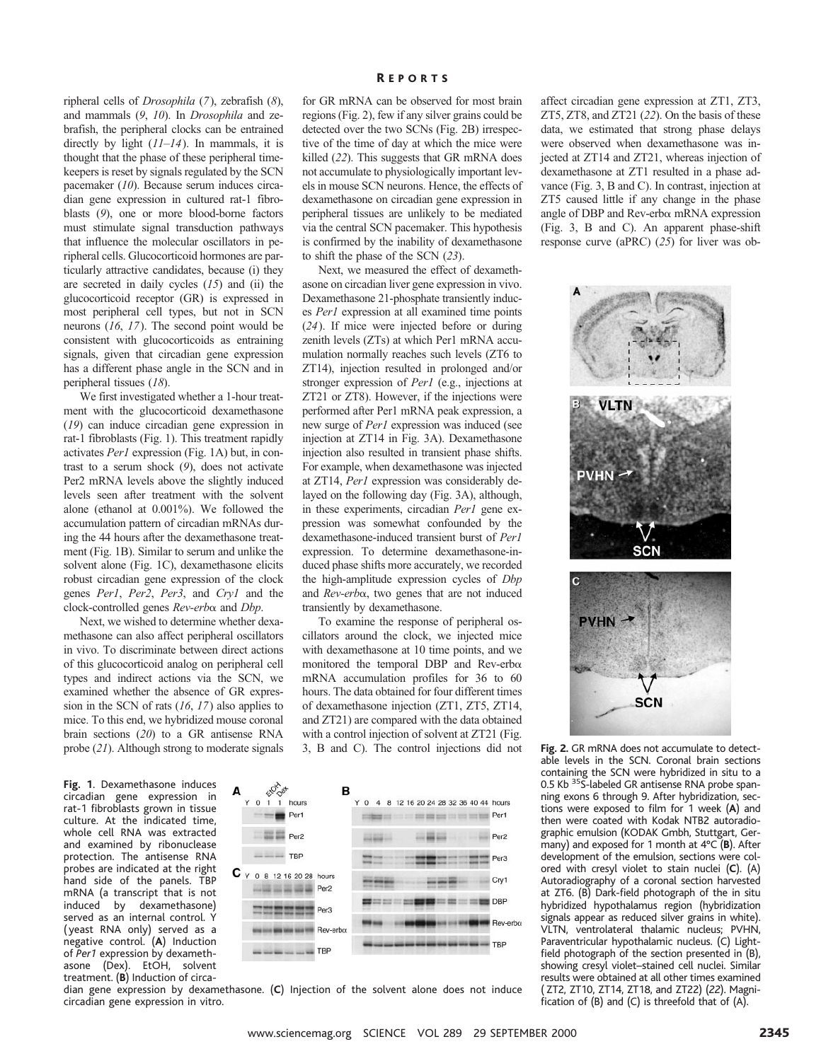ripheral cells of *Drosophila* (*7*), zebrafish (*8*), and mammals (*9*, *10*). In *Drosophila* and zebrafish, the peripheral clocks can be entrained directly by light (*11*–*14*). In mammals, it is thought that the phase of these peripheral timekeepers is reset by signals regulated by the SCN pacemaker (*10*). Because serum induces circadian gene expression in cultured rat-1 fibroblasts (*9*), one or more blood-borne factors must stimulate signal transduction pathways that influence the molecular oscillators in peripheral cells. Glucocorticoid hormones are particularly attractive candidates, because (i) they are secreted in daily cycles (*15*) and (ii) the glucocorticoid receptor (GR) is expressed in most peripheral cell types, but not in SCN neurons (*16*, *17*). The second point would be consistent with glucocorticoids as entraining signals, given that circadian gene expression has a different phase angle in the SCN and in peripheral tissues (*18*).

We first investigated whether a 1-hour treatment with the glucocorticoid dexamethasone (*19*) can induce circadian gene expression in rat-1 fibroblasts (Fig. 1). This treatment rapidly activates *Per1* expression (Fig. 1A) but, in contrast to a serum shock (*9*), does not activate Per2 mRNA levels above the slightly induced levels seen after treatment with the solvent alone (ethanol at 0.001%). We followed the accumulation pattern of circadian mRNAs during the 44 hours after the dexamethasone treatment (Fig. 1B). Similar to serum and unlike the solvent alone (Fig. 1C), dexamethasone elicits robust circadian gene expression of the clock genes *Per1*, *Per2*, *Per3*, and *Cry1* and the clock-controlled genes *Rev-erb*a and *Dbp*.

Next, we wished to determine whether dexamethasone can also affect peripheral oscillators in vivo. To discriminate between direct actions of this glucocorticoid analog on peripheral cell types and indirect actions via the SCN, we examined whether the absence of GR expression in the SCN of rats (*16*, *17*) also applies to mice. To this end, we hybridized mouse coronal brain sections (*20*) to a GR antisense RNA probe (*21*). Although strong to moderate signals

**Fig. 1**. Dexamethasone induces circadian gene expression in rat-1 fibroblasts grown in tissue culture. At the indicated time, whole cell RNA was extracted and examined by ribonuclease protection. The antisense RNA probes are indicated at the right hand side of the panels. TBP mRNA (a transcript that is not<br>induced by dexamethasone) dexamethasone) served as an internal control. Y (yeast RNA only) served as a negative control. (**A**) Induction of *Per1* expression by dexamethasone (Dex). EtOH, solvent treatment. (**B**) Induction of circafor GR mRNA can be observed for most brain regions (Fig. 2), few if any silver grains could be detected over the two SCNs (Fig. 2B) irrespective of the time of day at which the mice were killed (*22*). This suggests that GR mRNA does not accumulate to physiologically important levels in mouse SCN neurons. Hence, the effects of dexamethasone on circadian gene expression in peripheral tissues are unlikely to be mediated via the central SCN pacemaker. This hypothesis is confirmed by the inability of dexamethasone to shift the phase of the SCN (*23*).

Next, we measured the effect of dexamethasone on circadian liver gene expression in vivo. Dexamethasone 21-phosphate transiently induces *Per1* expression at all examined time points (*24*). If mice were injected before or during zenith levels (ZTs) at which Per1 mRNA accumulation normally reaches such levels (ZT6 to ZT14), injection resulted in prolonged and/or stronger expression of *Per1* (e.g., injections at ZT21 or ZT8). However, if the injections were performed after Per1 mRNA peak expression, a new surge of *Per1* expression was induced (see injection at ZT14 in Fig. 3A). Dexamethasone injection also resulted in transient phase shifts. For example, when dexamethasone was injected at ZT14, *Per1* expression was considerably delayed on the following day (Fig. 3A), although, in these experiments, circadian *Per1* gene expression was somewhat confounded by the dexamethasone-induced transient burst of *Per1* expression. To determine dexamethasone-induced phase shifts more accurately, we recorded the high-amplitude expression cycles of *Dbp* and *Rev-erb*a, two genes that are not induced transiently by dexamethasone.

To examine the response of peripheral oscillators around the clock, we injected mice with dexamethasone at 10 time points, and we monitored the temporal DBP and Rev-erba mRNA accumulation profiles for 36 to 60 hours. The data obtained for four different times of dexamethasone injection (ZT1, ZT5, ZT14, and ZT21) are compared with the data obtained with a control injection of solvent at ZT21 (Fig. 3, B and C). The control injections did not



dian gene expression by dexamethasone. (**C**) Injection of the solvent alone does not induce circadian gene expression in vitro.

affect circadian gene expression at ZT1, ZT3, ZT5, ZT8, and ZT21 (*22*). On the basis of these data, we estimated that strong phase delays were observed when dexamethasone was injected at ZT14 and ZT21, whereas injection of dexamethasone at ZT1 resulted in a phase advance (Fig. 3, B and C). In contrast, injection at ZT5 caused little if any change in the phase angle of DBP and Rev-erba mRNA expression (Fig. 3, B and C). An apparent phase-shift response curve (aPRC) (*25*) for liver was ob-



**Fig. 2.** GR mRNA does not accumulate to detectable levels in the SCN. Coronal brain sections containing the SCN were hybridized in situ to a 0.5 Kb<sup>35</sup>S-labeled GR antisense RNA probe spanning exons 6 through 9. After hybridization, sections were exposed to film for 1 week (**A**) and then were coated with Kodak NTB2 autoradiographic emulsion (KODAK Gmbh, Stuttgart, Germany) and exposed for 1 month at 4°C (**B**). After development of the emulsion, sections were colored with cresyl violet to stain nuclei (**C**). (A) Autoradiography of a coronal section harvested at ZT6. (B) Dark-field photograph of the in situ hybridized hypothalamus region (hybridization signals appear as reduced silver grains in white). VLTN, ventrolateral thalamic nucleus; PVHN, Paraventricular hypothalamic nucleus. (C) Lightfield photograph of the section presented in (B), showing cresyl violet–stained cell nuclei. Similar results were obtained at all other times examined ( ZT2, ZT10, ZT14, ZT18, and ZT22) (*22*). Magnification of (B) and (C) is threefold that of (A).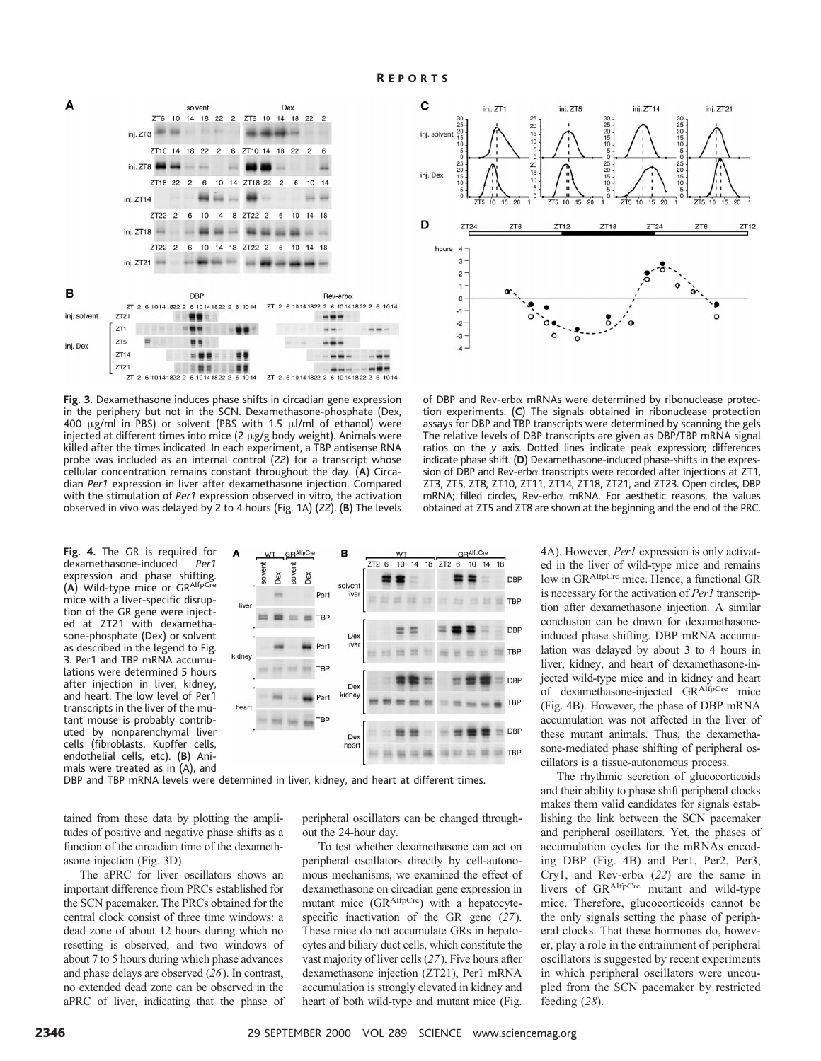

**Fig. 3.** Dexamethasone induces phase shifts in circadian gene expression in the periphery but not in the SCN. Dexamethasone-phosphate (Dex, 400  $\mu$ g/ml in PBS) or solvent (PBS with 1.5  $\mu$ l/ml of ethanol) were injected at different times into mice (2 µg/g body weight). Animals were killed after the times indicated. In each experiment, a TBP antisense RNA probe was included as an internal control (*22*) for a transcript whose cellular concentration remains constant throughout the day. (**A**) Circadian *Per1* expression in liver after dexamethasone injection. Compared with the stimulation of *Per1* expression observed in vitro, the activation observed in vivo was delayed by 2 to 4 hours (Fig. 1A) (*22*). (**B**) The levels

**Fig. 4.** The GR is required for dexamethasone-induced *Per1* expression and phase shifting. (**A**) Wild-type mice or GRAlfpCre mice with a liver-specific disruption of the GR gene were injected at ZT21 with dexamethasone-phosphate (Dex) or solvent as described in the legend to Fig. 3. Per1 and TBP mRNA accumulations were determined 5 hours after injection in liver, kidney, and heart. The low level of Per1 transcripts in the liver of the mutant mouse is probably contributed by nonparenchymal liver cells (fibroblasts, Kupffer cells, endothelial cells, etc). (**B**) Animals were treated as in (A), and



DBP and TBP mRNA levels were determined in liver, kidney, and heart at different times.

tained from these data by plotting the amplitudes of positive and negative phase shifts as a function of the circadian time of the dexamethasone injection (Fig. 3D).

The aPRC for liver oscillators shows an important difference from PRCs established for the SCN pacemaker. The PRCs obtained for the central clock consist of three time windows: a dead zone of about 12 hours during which no resetting is observed, and two windows of about 7 to 5 hours during which phase advances and phase delays are observed (*26*). In contrast, no extended dead zone can be observed in the aPRC of liver, indicating that the phase of peripheral oscillators can be changed throughout the 24-hour day.

To test whether dexamethasone can act on peripheral oscillators directly by cell-autonomous mechanisms, we examined the effect of dexamethasone on circadian gene expression in mutant mice (GRAlfpCre) with a hepatocytespecific inactivation of the GR gene (*27*). These mice do not accumulate GRs in hepatocytes and biliary duct cells, which constitute the vast majority of liver cells (*27*). Five hours after dexamethasone injection (ZT21), Per1 mRNA accumulation is strongly elevated in kidney and heart of both wild-type and mutant mice (Fig.



of DBP and Rev-erb $\alpha$  mRNAs were determined by ribonuclease protection experiments. (**C**) The signals obtained in ribonuclease protection assays for DBP and TBP transcripts were determined by scanning the gels The relative levels of DBP transcripts are given as DBP/TBP mRNA signal ratios on the *y* axis. Dotted lines indicate peak expression; differences indicate phase shift. (**D**) Dexamethasone-induced phase-shifts in the expression of DBP and Rev-erb $\alpha$  transcripts were recorded after injections at ZT1. ZT3, ZT5, ZT8, ZT10, ZT11, ZT14, ZT18, ZT21, and ZT23. Open circles, DBP mRNA; filled circles, Rev-erb $\alpha$  mRNA. For aesthetic reasons, the values obtained at ZT5 and ZT8 are shown at the beginning and the end of the PRC.

4A). However, *Per1* expression is only activated in the liver of wild-type mice and remains low in GRAlfpCre mice. Hence, a functional GR is necessary for the activation of *Per1* transcription after dexamethasone injection. A similar conclusion can be drawn for dexamethasoneinduced phase shifting. DBP mRNA accumulation was delayed by about 3 to 4 hours in liver, kidney, and heart of dexamethasone-injected wild-type mice and in kidney and heart of dexamethasone-injected GRAlfpCre mice (Fig. 4B). However, the phase of DBP mRNA accumulation was not affected in the liver of these mutant animals. Thus, the dexamethasone-mediated phase shifting of peripheral oscillators is a tissue-autonomous process.

The rhythmic secretion of glucocorticoids and their ability to phase shift peripheral clocks makes them valid candidates for signals establishing the link between the SCN pacemaker and peripheral oscillators. Yet, the phases of accumulation cycles for the mRNAs encoding DBP (Fig. 4B) and Per1, Per2, Per3, Cry1, and Rev-erba (*22*) are the same in livers of GRAlfpCre mutant and wild-type mice. Therefore, glucocorticoids cannot be the only signals setting the phase of peripheral clocks. That these hormones do, however, play a role in the entrainment of peripheral oscillators is suggested by recent experiments in which peripheral oscillators were uncoupled from the SCN pacemaker by restricted feeding (*28*).